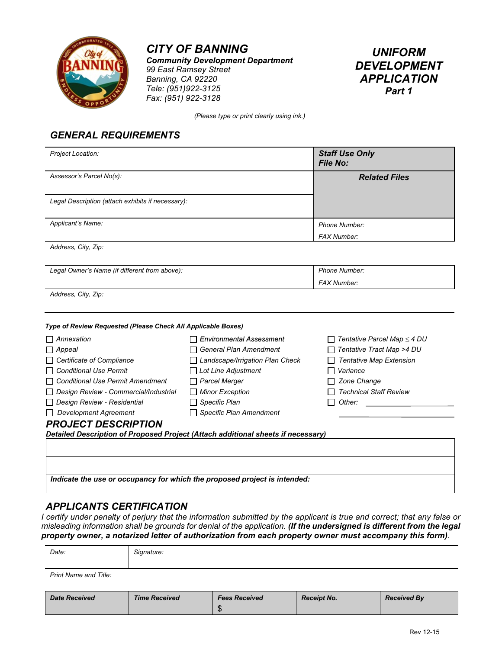

*Community Development Department 99 East Ramsey Street Banning, CA 92220 Tele: (951)922-3125 Fax: (951) 922-3128*



*(Please type or print clearly using ink.)*

### *GENERAL REQUIREMENTS*

| Project Location:                                                                |                                 | <b>Staff Use Only</b><br><b>File No:</b> |
|----------------------------------------------------------------------------------|---------------------------------|------------------------------------------|
| Assessor's Parcel No(s):                                                         |                                 | <b>Related Files</b>                     |
| Legal Description (attach exhibits if necessary):                                |                                 |                                          |
| Applicant's Name:                                                                |                                 | Phone Number:<br><b>FAX Number:</b>      |
| Address, City, Zip:                                                              |                                 |                                          |
| Legal Owner's Name (if different from above):                                    |                                 | Phone Number:<br><b>FAX Number:</b>      |
| Address, City, Zip:                                                              |                                 |                                          |
| Type of Review Requested (Please Check All Applicable Boxes)                     |                                 |                                          |
| Annexation                                                                       | <b>Environmental Assessment</b> | $\Box$ Tentative Parcel Map $\leq$ 4 DU  |
| $\Box$ Appeal                                                                    | <b>General Plan Amendment</b>   | Tentative Tract Map >4 DU                |
| $\Box$ Certificate of Compliance                                                 | Landscape/Irrigation Plan Check | <b>Tentative Map Extension</b>           |
| $\Box$ Conditional Use Permit                                                    | Lot Line Adjustment             | Variance                                 |
| □ Conditional Use Permit Amendment                                               | <b>Parcel Merger</b>            | Zone Change                              |
| Design Review - Commercial/Industrial                                            | <b>Minor Exception</b>          | <b>Technical Staff Review</b>            |
| Design Review - Residential                                                      | Specific Plan                   | Other:                                   |
| $\Box$ Development Agreement                                                     | <b>Specific Plan Amendment</b>  |                                          |
| <b>PROJECT DESCRIPTION</b>                                                       |                                 |                                          |
| Detailed Description of Proposed Project (Attach additional sheets if necessary) |                                 |                                          |
|                                                                                  |                                 |                                          |
|                                                                                  |                                 |                                          |
|                                                                                  |                                 |                                          |
| Indicate the use or occupancy for which the proposed project is intended:        |                                 |                                          |
|                                                                                  |                                 |                                          |

#### *APPLICANTS CERTIFICATION*

*I certify under penalty of perjury that the information submitted by the applicant is true and correct; that any false or misleading information shall be grounds for denial of the application. (If the undersigned is different from the legal property owner, a notarized letter of authorization from each property owner must accompany this form).*

| Date:                 | Signature:     |      |          |   |
|-----------------------|----------------|------|----------|---|
| Print Name and Title: |                |      |          |   |
| .                     | $ -$<br>______ | ____ | $-$<br>. | . |

| <b>Date Received</b> | <b>Time Received</b> | <b>Fees Received</b> | <b>Receipt No.</b> | <b>Received By</b> |
|----------------------|----------------------|----------------------|--------------------|--------------------|
|                      |                      |                      |                    |                    |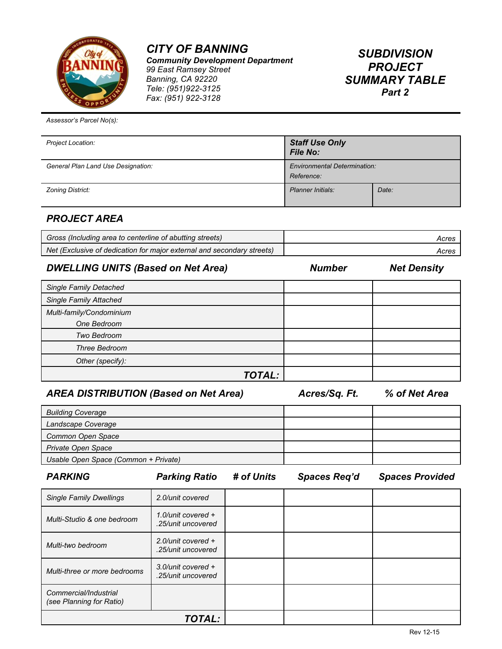

*Community Development Department 99 East Ramsey Street Banning, CA 92220 Tele: (951)922-3125 Fax: (951) 922-3128*

## *SUBDIVISION PROJECT SUMMARY TABLE Part 2*

*Assessor's Parcel No(s):*

| Project Location:                  | <b>Staff Use Only</b><br><b>File No:</b>          |       |
|------------------------------------|---------------------------------------------------|-------|
| General Plan Land Use Designation: | <b>Environmental Determination:</b><br>Reference: |       |
| Zoning District:                   | Planner Initials:                                 | Date: |

## *PROJECT AREA*

| Gross (Including area to centerline of abutting streets)               | Acres |
|------------------------------------------------------------------------|-------|
| Net (Exclusive of dedication for major external and secondary streets) | Acres |

#### *DWELLING UNITS (Based on Net Area) Number Net Density*

| <b>Single Family Detached</b> |  |
|-------------------------------|--|
| <b>Single Family Attached</b> |  |
| Multi-family/Condominium      |  |
| One Bedroom                   |  |
| Two Bedroom                   |  |
| Three Bedroom                 |  |
| Other (specify):              |  |
| TOTAL:                        |  |

#### *AREA DISTRIBUTION (Based on Net Area) Acres/Sq. Ft. % of Net Area*

| <b>Building Coverage</b>             |  |
|--------------------------------------|--|
| Landscape Coverage                   |  |
| Common Open Space                    |  |
| <b>Private Open Space</b>            |  |
| Usable Open Space (Common + Private) |  |

| <b>PARKING</b> |  |
|----------------|--|
|----------------|--|

*PARKING Parking Ratio # of Units Spaces Req'd Spaces Provided*

| <b>Single Family Dwellings</b>                    | 2.0/unit covered                            |  |  |
|---------------------------------------------------|---------------------------------------------|--|--|
| Multi-Studio & one bedroom                        | 1.0/unit covered $+$<br>.25/unit uncovered  |  |  |
| Multi-two bedroom                                 | $2.0$ /unit covered +<br>.25/unit uncovered |  |  |
| Multi-three or more bedrooms                      | 3.0/unit covered $+$<br>.25/unit uncovered  |  |  |
| Commercial/Industrial<br>(see Planning for Ratio) |                                             |  |  |
|                                                   | TOTAL:                                      |  |  |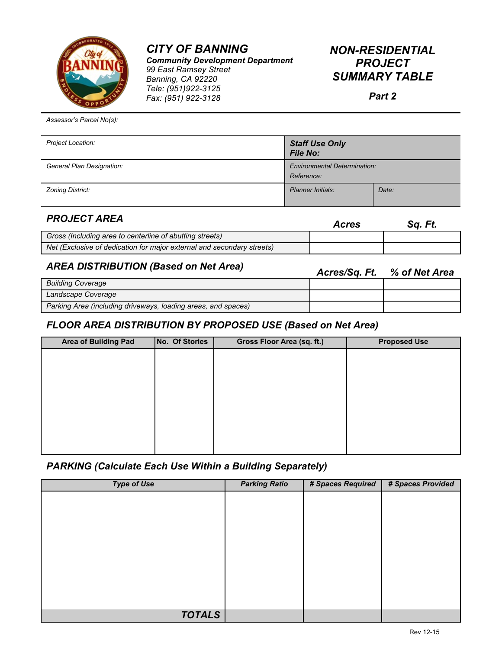

*Community Development Department 99 East Ramsey Street Banning, CA 92220 Tele: (951)922-3125 Fax: (951) 922-3128*

| <b>NON-RESIDENTIAL</b> |
|------------------------|
| <b>PROJECT</b>         |
| <i>SUMMARY TABLE</i>   |

*Part 2*

*Assessor's Parcel No(s):*

| Project Location:         | <b>Staff Use Only</b><br><b>File No:</b>          |       |
|---------------------------|---------------------------------------------------|-------|
| General Plan Designation: | <b>Environmental Determination:</b><br>Reference: |       |
| Zoning District:          | <b>Planner Initials:</b>                          | Date: |

| <b>PROJECT AREA</b>                                                    | <b>Acres</b> | Sq. Ft. |
|------------------------------------------------------------------------|--------------|---------|
| Gross (Including area to centerline of abutting streets)               |              |         |
| Net (Exclusive of dedication for major external and secondary streets) |              |         |

## *AREA DISTRIBUTION (Based on Net Area) Acres/Sq. Ft. % of Net Area*

|                                                               | AVIGJ/UY, I L | $10 \, \text{V}$ $11 \, \text{V}$ $11 \, \text{V}$ |
|---------------------------------------------------------------|---------------|----------------------------------------------------|
| <b>Building Coverage</b>                                      |               |                                                    |
| Landscape Coverage                                            |               |                                                    |
| Parking Area (including driveways, loading areas, and spaces) |               |                                                    |

### *FLOOR AREA DISTRIBUTION BY PROPOSED USE (Based on Net Area)*

| <b>Area of Building Pad</b> | No. Of Stories | Gross Floor Area (sq. ft.) | <b>Proposed Use</b> |
|-----------------------------|----------------|----------------------------|---------------------|
|                             |                |                            |                     |
|                             |                |                            |                     |
|                             |                |                            |                     |
|                             |                |                            |                     |
|                             |                |                            |                     |
|                             |                |                            |                     |
|                             |                |                            |                     |
|                             |                |                            |                     |

### *PARKING (Calculate Each Use Within a Building Separately)*

| <b>Type of Use</b> | <b>Parking Ratio</b> | # Spaces Required | # Spaces Provided |
|--------------------|----------------------|-------------------|-------------------|
|                    |                      |                   |                   |
|                    |                      |                   |                   |
|                    |                      |                   |                   |
|                    |                      |                   |                   |
|                    |                      |                   |                   |
|                    |                      |                   |                   |
|                    |                      |                   |                   |
|                    |                      |                   |                   |
|                    |                      |                   |                   |
| <b>TOTALS</b>      |                      |                   |                   |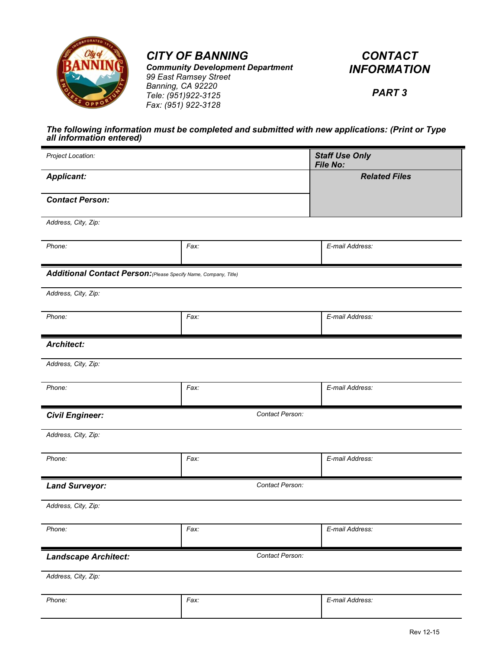

*Community Development Department*

*CONTACT INFORMATION*

*99 East Ramsey Street Banning, CA 92220 Tele: (951)922-3125 Fax: (951) 922-3128*

*PART 3*

#### *The following information must be completed and submitted with new applications: (Print or Type all information entered)*

| Project Location:                                                |                 | <b>Staff Use Only</b><br>File No: |  |
|------------------------------------------------------------------|-----------------|-----------------------------------|--|
| <b>Applicant:</b>                                                |                 | <b>Related Files</b>              |  |
| <b>Contact Person:</b>                                           |                 |                                   |  |
| Address, City, Zip:                                              |                 |                                   |  |
| Phone:                                                           | Fax:            | E-mail Address:                   |  |
| Additional Contact Person: (Please Specify Name, Company, Title) |                 |                                   |  |
| Address, City, Zip:                                              |                 |                                   |  |
| Phone:                                                           | Fax:            | E-mail Address:                   |  |
| <b>Architect:</b>                                                |                 |                                   |  |
| Address, City, Zip:                                              |                 |                                   |  |
| Phone:                                                           | Fax:            | E-mail Address:                   |  |
| Contact Person:<br><b>Civil Engineer:</b>                        |                 |                                   |  |
| Address, City, Zip:                                              |                 |                                   |  |
| Phone:                                                           | Fax:            | E-mail Address:                   |  |
| <b>Land Surveyor:</b>                                            | Contact Person: |                                   |  |
| Address, City, Zip:                                              |                 |                                   |  |
| Phone:                                                           | Fax:            | E-mail Address:                   |  |
| <b>Landscape Architect:</b>                                      | Contact Person: |                                   |  |
| Address, City, Zip:                                              |                 |                                   |  |
| Phone:                                                           | Fax:            | E-mail Address:                   |  |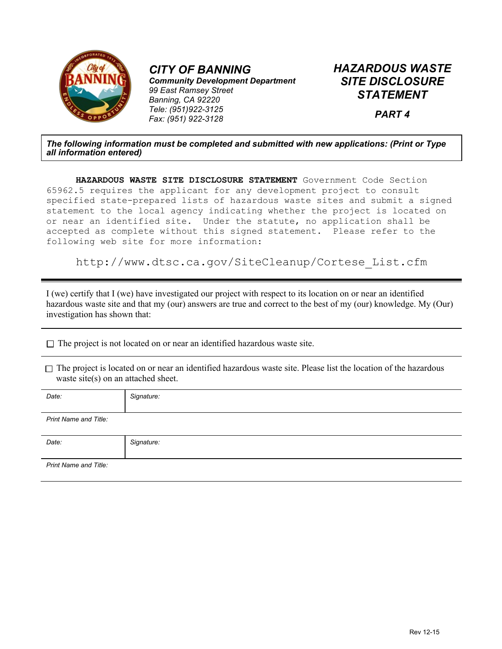

*Community Development Department 99 East Ramsey Street Banning, CA 92220 Tele: (951)922-3125 Fax: (951) 922-3128*

*HAZARDOUS WASTE SITE DISCLOSURE STATEMENT*

*PART 4*

#### *The following information must be completed and submitted with new applications: (Print or Type all information entered)*

**HAZARDOUS WASTE SITE DISCLOSURE STATEMENT** Government Code Section 65962.5 requires the applicant for any development project to consult specified state-prepared lists of hazardous waste sites and submit a signed statement to the local agency indicating whether the project is located on or near an identified site. Under the statute, no application shall be accepted as complete without this signed statement. Please refer to the following web site for more information:

http://www.dtsc.ca.gov/SiteCleanup/Cortese\_List.cfm

I (we) certify that I (we) have investigated our project with respect to its location on or near an identified hazardous waste site and that my (our) answers are true and correct to the best of my (our) knowledge. My (Our) investigation has shown that:

 $\Box$  The project is not located on or near an identified hazardous waste site.

 $\Box$  The project is located on or near an identified hazardous waste site. Please list the location of the hazardous waste site(s) on an attached sheet.

| Date:                 | Signature: |
|-----------------------|------------|
| Print Name and Title: |            |
| Date:                 | Signature: |
| Print Name and Title: |            |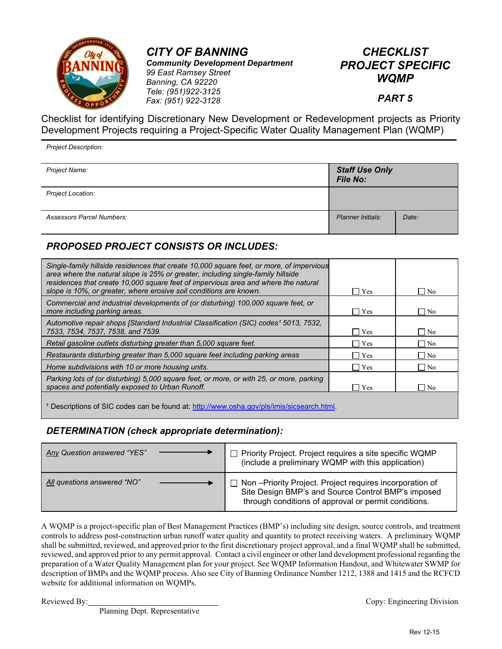

*CITY OF BANNING Community Development Department 99 East Ramsey Street Banning, CA 92220 Tele: (951)922-3125 Fax: (951) 922-3128*

## *CHECKLIST PROJECT SPECIFIC WQMP*

#### *PART 5*

Checklist for identifying Discretionary New Development or Redevelopment projects as Priority Development Projects requiring a Project-Specific Water Quality Management Plan (WQMP)

*Project Description:*

| Project Name:                    | <b>Staff Use Only</b><br><b>File No:</b> |       |
|----------------------------------|------------------------------------------|-------|
| Project Location:                |                                          |       |
| <b>Assessors Parcel Numbers:</b> | Planner Initials:                        | Date: |

### *PROPOSED PROJECT CONSISTS OR INCLUDES:*

| Single-family hillside residences that create 10,000 square feet, or more, of impervious<br>area where the natural slope is 25% or greater, including single-family hillside<br>residences that create 10,000 square feet of impervious area and where the natural<br>slope is 10%, or greater, where erosive soil conditions are known. | Yes        | $\Box$ No |  |
|------------------------------------------------------------------------------------------------------------------------------------------------------------------------------------------------------------------------------------------------------------------------------------------------------------------------------------------|------------|-----------|--|
| Commercial and industrial developments of (or disturbing) 100,000 square feet, or<br>more including parking areas.                                                                                                                                                                                                                       | $\Box$ Yes | $\Box$ No |  |
| Automotive repair shops [Standard Industrial Classification (SIC) codes <sup>1</sup> 5013, 7532,<br>7533, 7534, 7537, 7538, and 7539.                                                                                                                                                                                                    | $\Box$ Yes | $\neg$ No |  |
| Retail gasoline outlets disturbing greater than 5,000 square feet.                                                                                                                                                                                                                                                                       | $\Box$ Yes | No        |  |
| Restaurants disturbing greater than 5,000 square feet including parking areas                                                                                                                                                                                                                                                            | $\Box$ Yes | $\Box$ No |  |
| Home subdivisions with 10 or more housing units.                                                                                                                                                                                                                                                                                         | l lYes     | $\neg$ No |  |
| Parking lots of (or disturbing) 5,000 square feet, or more, or with 25, or more, parking<br>spaces and potentially exposed to Urban Runoff.                                                                                                                                                                                              | l lYes     | l No      |  |
| Descriptions of SIC codes can be found at: http://www.osha.gov/pls/imis/sicsearch.html.                                                                                                                                                                                                                                                  |            |           |  |

### *DETERMINATION (check appropriate determination):*

| Any Question answered "YES" | Priority Project. Project requires a site specific WQMP<br>(include a preliminary WQMP with this application)                                                         |
|-----------------------------|-----------------------------------------------------------------------------------------------------------------------------------------------------------------------|
| All questions answered "NO" | Mon-Priority Project. Project requires incorporation of<br>Site Design BMP's and Source Control BMP's imposed<br>through conditions of approval or permit conditions. |

A WQMP is a project-specific plan of Best Management Practices (BMP's) including site design, source controls, and treatment controls to address post-construction urban runoff water quality and quantity to protect receiving waters. A preliminary WQMP shall be submitted, reviewed, and approved prior to the first discretionary project approval, and a final WQMP shall be submitted, reviewed, and approved prior to any permit approval. Contact a civil engineer or other land development professional regarding the preparation of a Water Quality Management plan for your project. See WQMP Information Handout, and Whitewater SWMP for description of BMPs and the WQMP process. Also see City of Banning Ordinance Number 1212, 1388 and 1415 and the RCFCD website for additional information on WQMPs.

Planning Dept. Representative

Reviewed By: Copy: Engineering Division